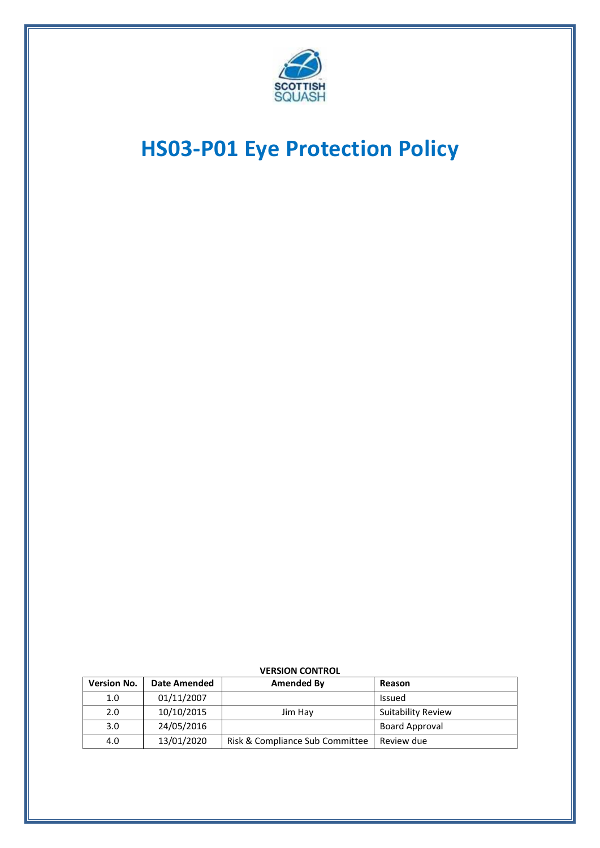

# **HS03-P01 Eye Protection Policy**

| <b>Version No.</b> | <b>Date Amended</b> | Amended By                      | Reason                    |
|--------------------|---------------------|---------------------------------|---------------------------|
| 1.0                | 01/11/2007          |                                 | Issued                    |
| 2.0                | 10/10/2015          | Jim Hay                         | <b>Suitability Review</b> |
| 3.0                | 24/05/2016          |                                 | <b>Board Approval</b>     |
| 4.0                | 13/01/2020          | Risk & Compliance Sub Committee | Review due                |

#### **VERSION CONTROL**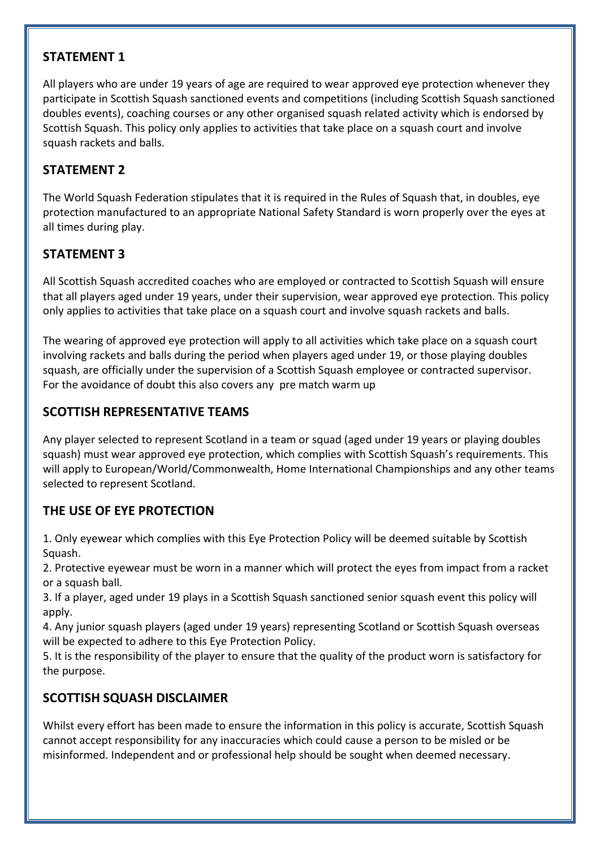#### **STATEMENT 1**

All players who are under 19 years of age are required to wear approved eye protection whenever they participate in Scottish Squash sanctioned events and competitions (including Scottish Squash sanctioned doubles events), coaching courses or any other organised squash related activity which is endorsed by Scottish Squash. This policy only applies to activities that take place on a squash court and involve squash rackets and balls.

# **STATEMENT 2**

The World Squash Federation stipulates that it is required in the Rules of Squash that, in doubles, eye protection manufactured to an appropriate National Safety Standard is worn properly over the eyes at all times during play.

# **STATEMENT 3**

All Scottish Squash accredited coaches who are employed or contracted to Scottish Squash will ensure that all players aged under 19 years, under their supervision, wear approved eye protection. This policy only applies to activities that take place on a squash court and involve squash rackets and balls.

The wearing of approved eye protection will apply to all activities which take place on a squash court involving rackets and balls during the period when players aged under 19, or those playing doubles squash, are officially under the supervision of a Scottish Squash employee or contracted supervisor. For the avoidance of doubt this also covers any pre match warm up

## **SCOTTISH REPRESENTATIVE TEAMS**

Any player selected to represent Scotland in a team or squad (aged under 19 years or playing doubles squash) must wear approved eye protection, which complies with Scottish Squash's requirements. This will apply to European/World/Commonwealth, Home International Championships and any other teams selected to represent Scotland.

## **THE USE OF EYE PROTECTION**

1. Only eyewear which complies with this Eye Protection Policy will be deemed suitable by Scottish Squash.

2. Protective eyewear must be worn in a manner which will protect the eyes from impact from a racket or a squash ball.

3. If a player, aged under 19 plays in a Scottish Squash sanctioned senior squash event this policy will apply.

4. Any junior squash players (aged under 19 years) representing Scotland or Scottish Squash overseas will be expected to adhere to this Eye Protection Policy.

5. It is the responsibility of the player to ensure that the quality of the product worn is satisfactory for the purpose.

## **SCOTTISH SQUASH DISCLAIMER**

Whilst every effort has been made to ensure the information in this policy is accurate, Scottish Squash cannot accept responsibility for any inaccuracies which could cause a person to be misled or be misinformed. Independent and or professional help should be sought when deemed necessary.